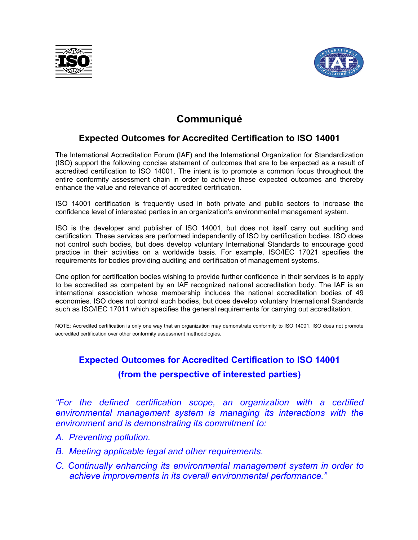



## **Communiqué**

### Expected Outcomes for Accredited Certification to ISO 14001

The International Accreditation Forum (IAF) and the International Organization for Standardization (ISO) support the following concise statement of outcomes that are to be expected as a result of accredited certification to ISO 14001. The intent is to promote a common focus throughout the entire conformity assessment chain in order to achieve these expected outcomes and thereby enhance the value and relevance of accredited certification.

ISO 14001 certification is frequently used in both private and public sectors to increase the confidence level of interested parties in an organization's environmental management system.

ISO is the developer and publisher of ISO 14001, but does not itself carry out auditing and certification. These services are performed independently of ISO by certification bodies. ISO does not control such bodies, but does develop voluntary International Standards to encourage good practice in their activities on a worldwide basis. For example, ISO/IEC 17021 specifies the requirements for bodies providing auditing and certification of management systems.

One option for certification bodies wishing to provide further confidence in their services is to apply to be accredited as competent by an IAF recognized national accreditation body. The IAF is an international association whose membership includes the national accreditation bodies of 49 economies. ISO does not control such bodies, but does develop voluntary International Standards such as ISO/IEC 17011 which specifies the general requirements for carrying out accreditation.

NOTE: Accredited certification is only one way that an organization may demonstrate conformity to ISO 14001. ISO does not promote accredited certification over other conformity assessment methodologies.

# Expected Outcomes for Accredited Certification to ISO 14001 (from the perspective of interested parties)

"For the defined certification scope, an organization with a certified environmental management system is managing its interactions with the environment and is demonstrating its commitment to:

- A. Preventing pollution.
- B. Meeting applicable legal and other requirements.
- C. Continually enhancing its environmental management system in order to achieve improvements in its overall environmental performance."